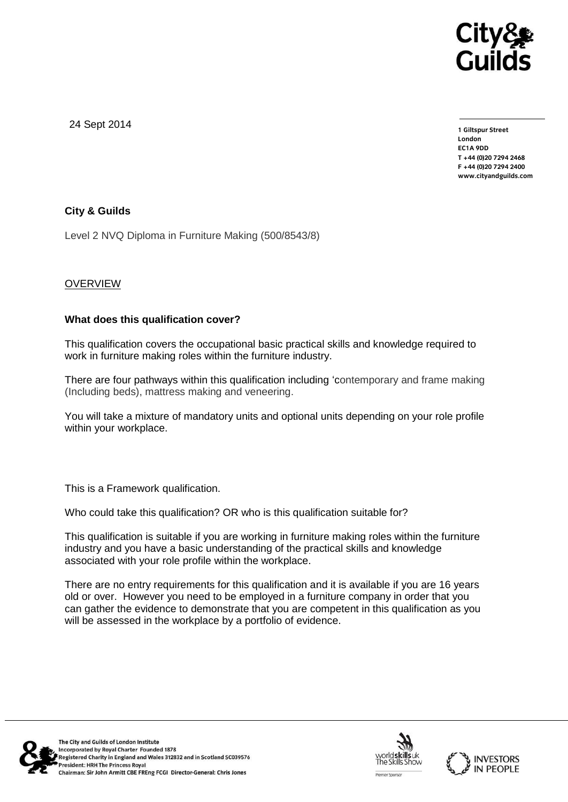

24 Sept 2014

**1 Giltspur Street EC1A 9DD** T +44 (0) 20 7 294 2468 **T +44 (0)20 7294 246[8](http://www.cityandguilds.com/) F +44 (0)20 7294 2400 [www.cityandguilds.com](http://www.cityandguilds.com/)**

# **City & Guilds**

Level 2 NVQ Diploma in Furniture Making (500/8543/8)

# **OVERVIEW**

#### **What does this qualification cover?**

This qualification covers the occupational basic practical skills and knowledge required to work in furniture making roles within the furniture industry.

There are four pathways within this qualification including 'contemporary and frame making (Including beds), mattress making and veneering.

You will take a mixture of mandatory units and optional units depending on your role profile within your workplace.

This is a Framework qualification.

Who could take this qualification? OR who is this qualification suitable for?

This qualification is suitable if you are working in furniture making roles within the furniture industry and you have a basic understanding of the practical skills and knowledge associated with your role profile within the workplace.

There are no entry requirements for this qualification and it is available if you are 16 years old or over. However you need to be employed in a furniture company in order that you can gather the evidence to demonstrate that you are competent in this qualification as you will be assessed in the workplace by a portfolio of evidence.